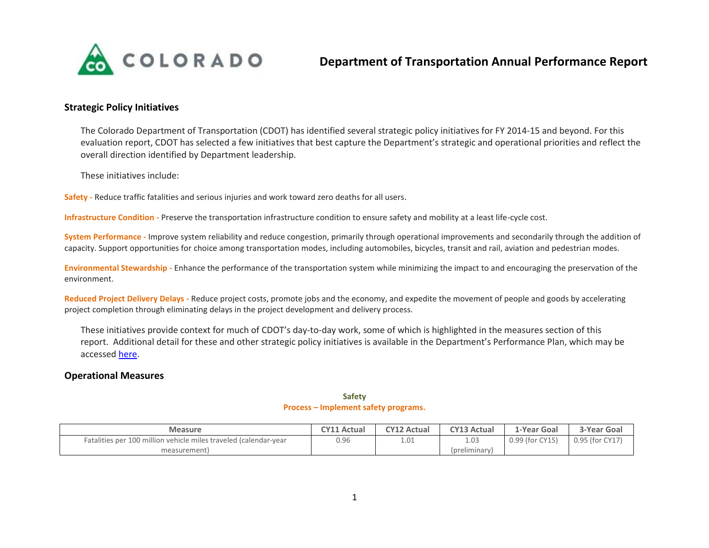

# **Strategic Policy Initiatives**

The Colorado Department of Transportation (CDOT) has identified several strategic policy initiatives for FY 2014-15 and beyond. For this evaluation report, CDOT has selected a few initiatives that best capture the Department's strategic and operational priorities and reflect the overall direction identified by Department leadership.

These initiatives include:

**Safety -** Reduce traffic fatalities and serious injuries and work toward zero deaths for all users.

**Infrastructure Condition -** Preserve the transportation infrastructure condition to ensure safety and mobility at a least life-cycle cost.

**System Performance -** Improve system reliability and reduce congestion, primarily through operational improvements and secondarily through the addition of capacity. Support opportunities for choice among transportation modes, including automobiles, bicycles, transit and rail, aviation and pedestrian modes.

**Environmental Stewardship -** Enhance the performance of the transportation system while minimizing the impact to and encouraging the preservation of the environment.

**Reduced Project Delivery Delays -** Reduce project costs, promote jobs and the economy, and expedite the movement of people and goods by accelerating project completion through eliminating delays in the project development and delivery process.

These initiatives provide context for much of CDOT's day-to-day work, some of which is highlighted in the measures section of this report. Additional detail for these and other strategic policy initiatives is available in the Department's Performance Plan, which may be accessed [here.](https://sites.google.com/a/state.co.us/performance-planning-ospb/home/performance-plans/cdot)

## **Operational Measures**

| <b>Measure</b>                                                   | <b>CY11 Actual</b> | <b>CY12 Actual</b> | <b>CY13 Actual</b> | 1-Year Goal     | 3-Year Goal     |
|------------------------------------------------------------------|--------------------|--------------------|--------------------|-----------------|-----------------|
| Fatalities per 100 million vehicle miles traveled (calendar-year | 0.96               | 1.01               | 1.03               | 0.99 (for CY15) | 0.95 (for CY17) |
| measurement)                                                     |                    |                    | (preliminary)      |                 |                 |

### **Safety Process – Implement safety programs.**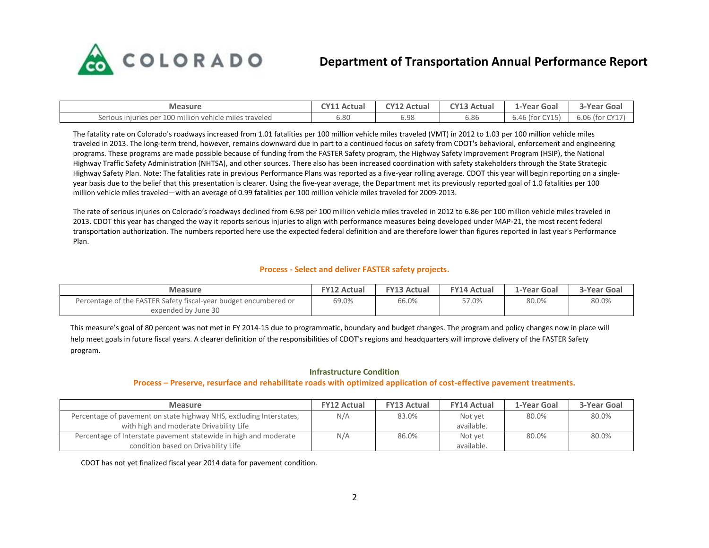

# **Department of Transportation Annual Performance Report**

| <b>Measure</b>                                               | <b>TY11 Actual</b> | $\sim$ 12 Actual | <b>CY13 Actual</b> | -Year Goal                 | 3-Year Goal    |
|--------------------------------------------------------------|--------------------|------------------|--------------------|----------------------------|----------------|
| r 100 million vehicle miles traveled<br>Serious injuries per | 6.80               | 6.98             | 6.86               | $0.46$ (for $\cap$<br>CY15 | 6.06 (for CY17 |

The fatality rate on Colorado's roadways increased from 1.01 fatalities per 100 million vehicle miles traveled (VMT) in 2012 to 1.03 per 100 million vehicle miles traveled in 2013. The long-term trend, however, remains downward due in part to a continued focus on safety from CDOT's behavioral, enforcement and engineering programs. These programs are made possible because of funding from the FASTER Safety program, the Highway Safety Improvement Program (HSIP), the National Highway Traffic Safety Administration (NHTSA), and other sources. There also has been increased coordination with safety stakeholders through the State Strategic Highway Safety Plan. Note: The fatalities rate in previous Performance Plans was reported as a five-year rolling average. CDOT this year will begin reporting on a singleyear basis due to the belief that this presentation is clearer. Using the five-year average, the Department met its previously reported goal of 1.0 fatalities per 100 million vehicle miles traveled—with an average of 0.99 fatalities per 100 million vehicle miles traveled for 2009-2013.

The rate of serious injuries on Colorado's roadways declined from 6.98 per 100 million vehicle miles traveled in 2012 to 6.86 per 100 million vehicle miles traveled in 2013. CDOT this year has changed the way it reports serious injuries to align with performance measures being developed under MAP-21, the most recent federal transportation authorization. The numbers reported here use the expected federal definition and are therefore lower than figures reported in last year's Performance Plan.

#### **Process - Select and deliver FASTER safety projects.**

| <b>Measure</b>                                                   | <b>FY12 Actual</b> | <b>FY13 Actual</b> | <b>FY14 Actual</b> | 1-Year Goal | 3-Year Goal |
|------------------------------------------------------------------|--------------------|--------------------|--------------------|-------------|-------------|
| Percentage of the FASTER Safety fiscal-year budget encumbered or | 69.0%              | 66.0%              | 57.0%              | 80.0%       | 80.0%       |
| expended by June 30                                              |                    |                    |                    |             |             |

This measure's goal of 80 percent was not met in FY 2014-15 due to programmatic, boundary and budget changes. The program and policy changes now in place will help meet goals in future fiscal years. A clearer definition of the responsibilities of CDOT's regions and headquarters will improve delivery of the FASTER Safety program.

#### **Infrastructure Condition**

#### **Process – Preserve, resurface and rehabilitate roads with optimized application of cost-effective pavement treatments.**

| <b>Measure</b>                                                      | <b>FY12 Actual</b> | <b>FY13 Actual</b> | <b>FY14 Actual</b> | 1-Year Goal | 3-Year Goal |
|---------------------------------------------------------------------|--------------------|--------------------|--------------------|-------------|-------------|
| Percentage of pavement on state highway NHS, excluding Interstates, | N/A                | 83.0%              | Not yet            | 80.0%       | 80.0%       |
| with high and moderate Drivability Life                             |                    |                    | available.         |             |             |
| Percentage of Interstate pavement statewide in high and moderate    | N/A                | 86.0%              | Not yet            | 80.0%       | 80.0%       |
| condition based on Drivability Life                                 |                    |                    | available.         |             |             |

CDOT has not yet finalized fiscal year 2014 data for pavement condition.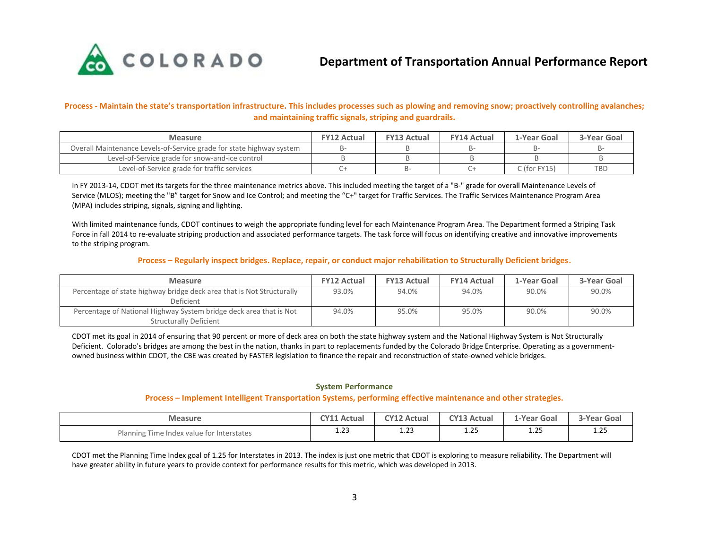

**Process - Maintain the state's transportation infrastructure. This includes processes such as plowing and removing snow; proactively controlling avalanches; and maintaining traffic signals, striping and guardrails.**

| <b>Measure</b>                                                       | <b>FY12 Actual</b> | <b>FY13 Actual</b> | <b>FY14 Actual</b> | 1-Year Goal    | 3-Year Goal |
|----------------------------------------------------------------------|--------------------|--------------------|--------------------|----------------|-------------|
| Overall Maintenance Levels-of-Service grade for state highway system |                    |                    |                    |                |             |
| Level-of-Service grade for snow-and-ice control                      |                    |                    |                    |                |             |
| Level-of-Service grade for traffic services                          |                    |                    |                    | $C$ (for FY15) | <b>TBD</b>  |

In FY 2013-14, CDOT met its targets for the three maintenance metrics above. This included meeting the target of a "B-" grade for overall Maintenance Levels of Service (MLOS); meeting the "B" target for Snow and Ice Control; and meeting the "C+" target for Traffic Services. The Traffic Services Maintenance Program Area (MPA) includes striping, signals, signing and lighting.

With limited maintenance funds, CDOT continues to weigh the appropriate funding level for each Maintenance Program Area. The Department formed a Striping Task Force in fall 2014 to re-evaluate striping production and associated performance targets. The task force will focus on identifying creative and innovative improvements to the striping program.

#### **Process – Regularly inspect bridges. Replace, repair, or conduct major rehabilitation to Structurally Deficient bridges.**

| <b>Measure</b>                                                                                      | <b>FY12 Actual</b> | <b>FY13 Actual</b> | <b>FY14 Actual</b> | 1-Year Goal | 3-Year Goal |
|-----------------------------------------------------------------------------------------------------|--------------------|--------------------|--------------------|-------------|-------------|
| Percentage of state highway bridge deck area that is Not Structurally<br><b>Deficient</b>           | 93.0%              | 94.0%              | 94.0%              | 90.0%       | 90.0%       |
| Percentage of National Highway System bridge deck area that is Not<br><b>Structurally Deficient</b> | 94.0%              | 95.0%              | 95.0%              | 90.0%       | 90.0%       |

CDOT met its goal in 2014 of ensuring that 90 percent or more of deck area on both the state highway system and the National Highway System is Not Structurally Deficient. Colorado's bridges are among the best in the nation, thanks in part to replacements funded by the Colorado Bridge Enterprise. Operating as a governmentowned business within CDOT, the CBE was created by FASTER legislation to finance the repair and reconstruction of state-owned vehicle bridges.

#### **System Performance**

## **Process – Implement Intelligent Transportation Systems, performing effective maintenance and other strategies.**

| <b>Measure</b>                            | <b>CY11 Actual</b> | <b>CY12 Actual</b> | <b>CY13 Actual</b> | 1-Year Goal  | <b>3-Year Goal</b> |
|-------------------------------------------|--------------------|--------------------|--------------------|--------------|--------------------|
| Planning Time Index value for Interstates | ່າາ                | $\sim$ 22.         | ำะ                 | $\mathbf{a}$ | つに                 |
|                                           | د∡.⊥               | رے.⊥               | ر ے . د            | ر ے. ⊥       | ر ے. ⊥             |

CDOT met the Planning Time Index goal of 1.25 for Interstates in 2013. The index is just one metric that CDOT is exploring to measure reliability. The Department will have greater ability in future years to provide context for performance results for this metric, which was developed in 2013.